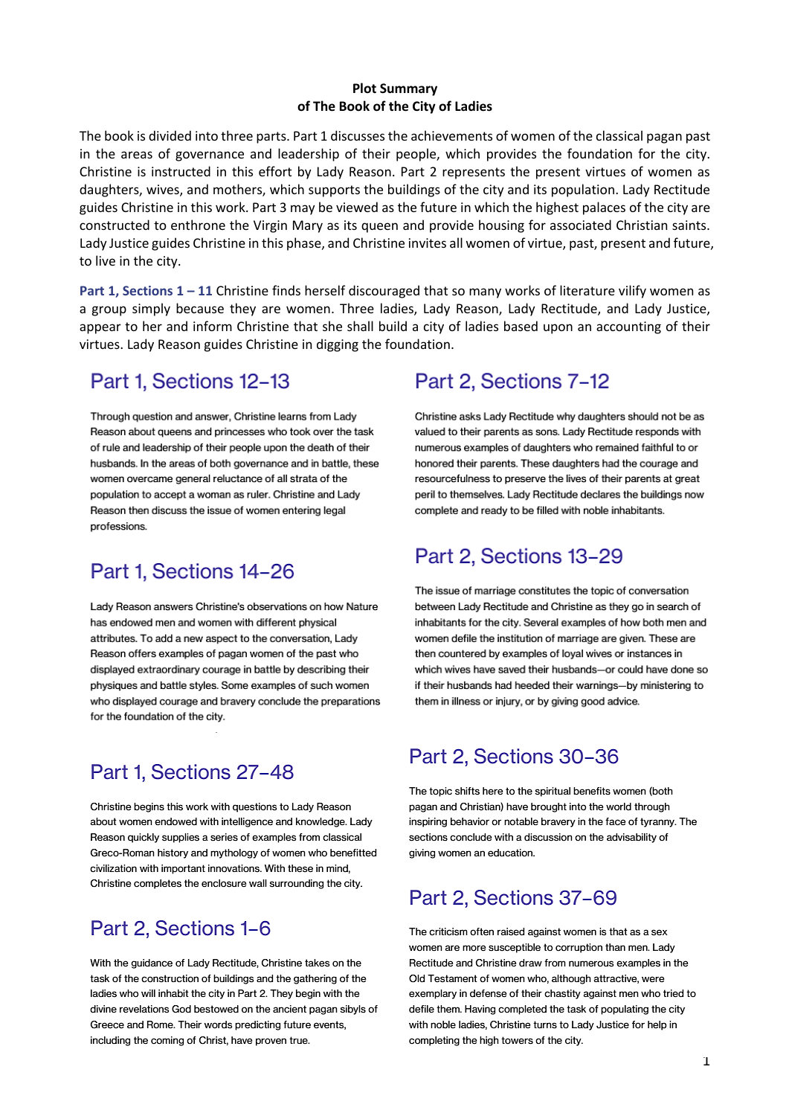#### **Plot Summary** of The Book of the City of Ladies

The book is divided into three parts. Part 1 discusses the achievements of women of the classical pagan past in the areas of governance and leadership of their people, which provides the foundation for the city. Christine is instructed in this effort by Lady Reason. Part 2 represents the present virtues of women as daughters, wives, and mothers, which supports the buildings of the city and its population. Lady Rectitude guides Christine in this work. Part 3 may be viewed as the future in which the highest palaces of the city are constructed to enthrone the Virgin Mary as its queen and provide housing for associated Christian saints. Lady Justice guides Christine in this phase, and Christine invites all women of virtue, past, present and future, to live in the city.

Part 1, Sections  $1 - 11$  Christine finds herself discouraged that so many works of literature vilify women as a group simply because they are women. Three ladies, Lady Reason, Lady Rectitude, and Lady Justice, appear to her and inform Christine that she shall build a city of ladies based upon an accounting of their virtues. Lady Reason guides Christine in digging the foundation.

### Part 1, Sections 12-13

Through question and answer, Christine learns from Lady Reason about queens and princesses who took over the task of rule and leadership of their people upon the death of their husbands. In the areas of both governance and in battle, these women overcame general reluctance of all strata of the population to accept a woman as ruler. Christine and Lady Reason then discuss the issue of women entering legal professions.

## Part 1, Sections 14-26

Lady Reason answers Christine's observations on how Nature has endowed men and women with different physical attributes. To add a new aspect to the conversation, Lady Reason offers examples of pagan women of the past who displayed extraordinary courage in battle by describing their physiques and battle styles. Some examples of such women who displayed courage and bravery conclude the preparations for the foundation of the city.

## Part 1, Sections 27-48

Christine begins this work with questions to Lady Reason about women endowed with intelligence and knowledge. Lady Reason quickly supplies a series of examples from classical Greco-Roman history and mythology of women who benefitted civilization with important innovations. With these in mind. Christine completes the enclosure wall surrounding the city.

# Part 2, Sections 1-6

With the guidance of Lady Rectitude, Christine takes on the task of the construction of buildings and the gathering of the ladies who will inhabit the city in Part 2. They begin with the divine revelations God bestowed on the ancient pagan sibyls of Greece and Rome. Their words predicting future events, including the coming of Christ, have proven true.

## Part 2, Sections 7-12

Christine asks Lady Rectitude why daughters should not be as valued to their parents as sons. Lady Rectitude responds with numerous examples of daughters who remained faithful to or honored their parents. These daughters had the courage and resourcefulness to preserve the lives of their parents at great peril to themselves. Lady Rectitude declares the buildings now complete and ready to be filled with noble inhabitants.

## Part 2, Sections 13-29

The issue of marriage constitutes the topic of conversation between Lady Rectitude and Christine as they go in search of inhabitants for the city. Several examples of how both men and women defile the institution of marriage are given. These are then countered by examples of loyal wives or instances in which wives have saved their husbands-or could have done so if their husbands had heeded their warnings-by ministering to them in illness or injury, or by giving good advice.

## Part 2, Sections 30-36

The topic shifts here to the spiritual benefits women (both pagan and Christian) have brought into the world through inspiring behavior or notable bravery in the face of tyranny. The sections conclude with a discussion on the advisability of giving women an education.

## Part 2, Sections 37-69

The criticism often raised against women is that as a sex women are more susceptible to corruption than men. Lady Rectitude and Christine draw from numerous examples in the Old Testament of women who, although attractive, were exemplary in defense of their chastity against men who tried to defile them. Having completed the task of populating the city with noble ladies, Christine turns to Lady Justice for help in completing the high towers of the city.